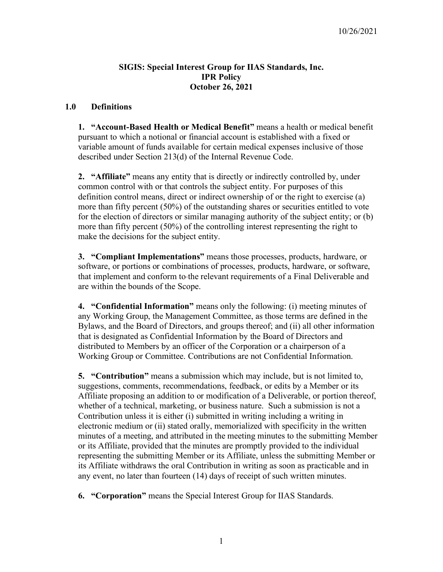### **SIGIS: Special Interest Group for IIAS Standards, Inc. IPR Policy October 26, 2021**

#### **1.0 Definitions**

**1. "Account-Based Health or Medical Benefit"** means a health or medical benefit pursuant to which a notional or financial account is established with a fixed or variable amount of funds available for certain medical expenses inclusive of those described under Section 213(d) of the Internal Revenue Code.

**2. "Affiliate"** means any entity that is directly or indirectly controlled by, under common control with or that controls the subject entity. For purposes of this definition control means, direct or indirect ownership of or the right to exercise (a) more than fifty percent (50%) of the outstanding shares or securities entitled to vote for the election of directors or similar managing authority of the subject entity; or (b) more than fifty percent (50%) of the controlling interest representing the right to make the decisions for the subject entity.

**3. "Compliant Implementations"** means those processes, products, hardware, or software, or portions or combinations of processes, products, hardware, or software, that implement and conform to-the relevant requirements of a Final Deliverable and are within the bounds of the Scope.

**4. "Confidential Information"** means only the following: (i) meeting minutes of any Working Group, the Management Committee, as those terms are defined in the Bylaws, and the Board of Directors, and groups thereof; and (ii) all other information that is designated as Confidential Information by the Board of Directors and distributed to Members by an officer of the Corporation or a chairperson of a Working Group or Committee. Contributions are not Confidential Information.

**5. "Contribution"** means a submission which may include, but is not limited to, suggestions, comments, recommendations, feedback, or edits by a Member or its Affiliate proposing an addition to or modification of a Deliverable, or portion thereof, whether of a technical, marketing, or business nature. Such a submission is not a Contribution unless it is either (i) submitted in writing including a writing in electronic medium or (ii) stated orally, memorialized with specificity in the written minutes of a meeting, and attributed in the meeting minutes to the submitting Member or its Affiliate, provided that the minutes are promptly provided to the individual representing the submitting Member or its Affiliate, unless the submitting Member or its Affiliate withdraws the oral Contribution in writing as soon as practicable and in any event, no later than fourteen (14) days of receipt of such written minutes.

**6. "Corporation"** means the Special Interest Group for IIAS Standards.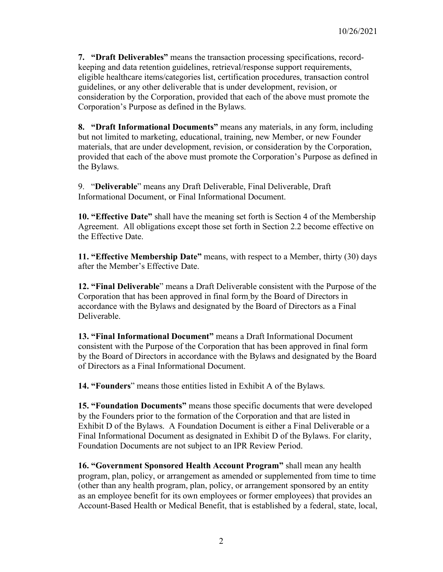**7. "Draft Deliverables"** means the transaction processing specifications, recordkeeping and data retention guidelines, retrieval/response support requirements, eligible healthcare items/categories list, certification procedures, transaction control guidelines, or any other deliverable that is under development, revision, or consideration by the Corporation, provided that each of the above must promote the Corporation's Purpose as defined in the Bylaws.

**8. "Draft Informational Documents"** means any materials, in any form, including but not limited to marketing, educational, training, new Member, or new Founder materials, that are under development, revision, or consideration by the Corporation, provided that each of the above must promote the Corporation's Purpose as defined in the Bylaws.

9. "**Deliverable**" means any Draft Deliverable, Final Deliverable, Draft Informational Document, or Final Informational Document.

**10. "Effective Date"** shall have the meaning set forth is Section 4 of the Membership Agreement. All obligations except those set forth in Section 2.2 become effective on the Effective Date.

**11. "Effective Membership Date"** means, with respect to a Member, thirty (30) days after the Member's Effective Date.

**12. "Final Deliverable**" means a Draft Deliverable consistent with the Purpose of the Corporation that has been approved in final form by the Board of Directors in accordance with the Bylaws and designated by the Board of Directors as a Final Deliverable.

**13. "Final Informational Document"** means a Draft Informational Document consistent with the Purpose of the Corporation that has been approved in final form by the Board of Directors in accordance with the Bylaws and designated by the Board of Directors as a Final Informational Document.

**14. "Founders**" means those entities listed in Exhibit A of the Bylaws.

**15. "Foundation Documents"** means those specific documents that were developed by the Founders prior to the formation of the Corporation and that are listed in Exhibit D of the Bylaws. A Foundation Document is either a Final Deliverable or a Final Informational Document as designated in Exhibit D of the Bylaws. For clarity, Foundation Documents are not subject to an IPR Review Period.

**16. "Government Sponsored Health Account Program"** shall mean any health program, plan, policy, or arrangement as amended or supplemented from time to time (other than any health program, plan, policy, or arrangement sponsored by an entity as an employee benefit for its own employees or former employees) that provides an Account-Based Health or Medical Benefit, that is established by a federal, state, local,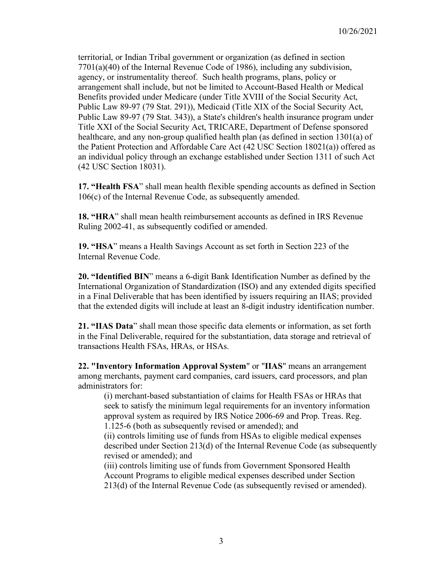territorial, or Indian Tribal government or organization (as defined in section 7701(a)(40) of the Internal Revenue Code of 1986), including any subdivision, agency, or instrumentality thereof. Such health programs, plans, policy or arrangement shall include, but not be limited to Account-Based Health or Medical Benefits provided under Medicare (under Title XVIII of the Social Security Act, Public Law 89-97 (79 Stat. 291)), Medicaid (Title XIX of the Social Security Act, Public Law 89-97 (79 Stat. 343)), a State's children's health insurance program under Title XXI of the Social Security Act, TRICARE, Department of Defense sponsored healthcare, and any non-group qualified health plan (as defined in section 1301(a) of the Patient Protection and Affordable Care Act (42 USC Section 18021(a)) offered as an individual policy through an exchange established under Section 1311 of such Act (42 USC Section 18031).

**17. "Health FSA**" shall mean health flexible spending accounts as defined in Section 106(c) of the Internal Revenue Code, as subsequently amended.

**18. "HRA**" shall mean health reimbursement accounts as defined in IRS Revenue Ruling 2002-41, as subsequently codified or amended.

**19. "HSA**" means a Health Savings Account as set forth in Section 223 of the Internal Revenue Code.

**20. "Identified BIN**" means a 6-digit Bank Identification Number as defined by the International Organization of Standardization (ISO) and any extended digits specified in a Final Deliverable that has been identified by issuers requiring an IIAS; provided that the extended digits will include at least an 8-digit industry identification number.

**21. "IIAS Data**" shall mean those specific data elements or information, as set forth in the Final Deliverable, required for the substantiation, data storage and retrieval of transactions Health FSAs, HRAs, or HSAs.

**22. "Inventory Information Approval System**" or "**IIAS**" means an arrangement among merchants, payment card companies, card issuers, card processors, and plan administrators for:

(i) merchant-based substantiation of claims for Health FSAs or HRAs that seek to satisfy the minimum legal requirements for an inventory information approval system as required by IRS Notice 2006-69 and Prop. Treas. Reg. 1.125-6 (both as subsequently revised or amended); and

(ii) controls limiting use of funds from HSAs to eligible medical expenses described under Section 213(d) of the Internal Revenue Code (as subsequently revised or amended); and

(iii) controls limiting use of funds from Government Sponsored Health Account Programs to eligible medical expenses described under Section 213(d) of the Internal Revenue Code (as subsequently revised or amended).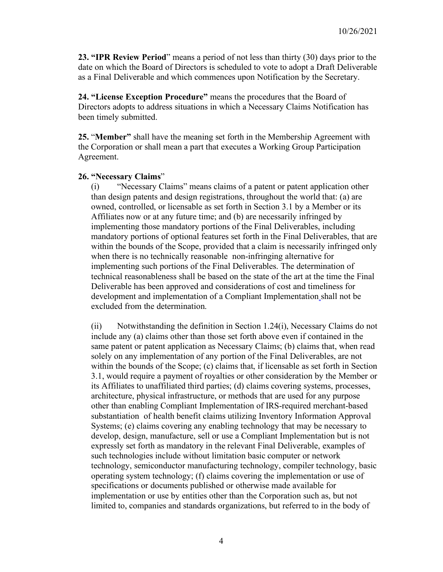**23. "IPR Review Period**" means a period of not less than thirty (30) days prior to the date on which the Board of Directors is scheduled to vote to adopt a Draft Deliverable as a Final Deliverable and which commences upon Notification by the Secretary.

**24. "License Exception Procedure"** means the procedures that the Board of Directors adopts to address situations in which a Necessary Claims Notification has been timely submitted.

**25.** "**Member"** shall have the meaning set forth in the Membership Agreement with the Corporation or shall mean a part that executes a Working Group Participation Agreement.

#### **26. "Necessary Claims**"

(i) "Necessary Claims" means claims of a patent or patent application other than design patents and design registrations, throughout the world that: (a) are owned, controlled, or licensable as set forth in Section 3.1 by a Member or its Affiliates now or at any future time; and (b) are necessarily infringed by implementing those mandatory portions of the Final Deliverables, including mandatory portions of optional features set forth in the Final Deliverables, that are within the bounds of the Scope, provided that a claim is necessarily infringed only when there is no technically reasonable non-infringing alternative for implementing such portions of the Final Deliverables. The determination of technical reasonableness shall be based on the state of the art at the time the Final Deliverable has been approved and considerations of cost and timeliness for development and implementation of a Compliant Implementation shall not be excluded from the determination.

(ii) Notwithstanding the definition in Section 1.24(i), Necessary Claims do not include any (a) claims other than those set forth above even if contained in the same patent or patent application as Necessary Claims; (b) claims that, when read solely on any implementation of any portion of the Final Deliverables, are not within the bounds of the Scope; (c) claims that, if licensable as set forth in Section 3.1, would require a payment of royalties or other consideration by the Member or its Affiliates to unaffiliated third parties; (d) claims covering systems, processes, architecture, physical infrastructure, or methods that are used for any purpose other than enabling Compliant Implementation of IRS-required merchant-based substantiation of health benefit claims utilizing Inventory Information Approval Systems; (e) claims covering any enabling technology that may be necessary to develop, design, manufacture, sell or use a Compliant Implementation but is not expressly set forth as mandatory in the relevant Final Deliverable, examples of such technologies include without limitation basic computer or network technology, semiconductor manufacturing technology, compiler technology, basic operating system technology; (f) claims covering the implementation or use of specifications or documents published or otherwise made available for implementation or use by entities other than the Corporation such as, but not limited to, companies and standards organizations, but referred to in the body of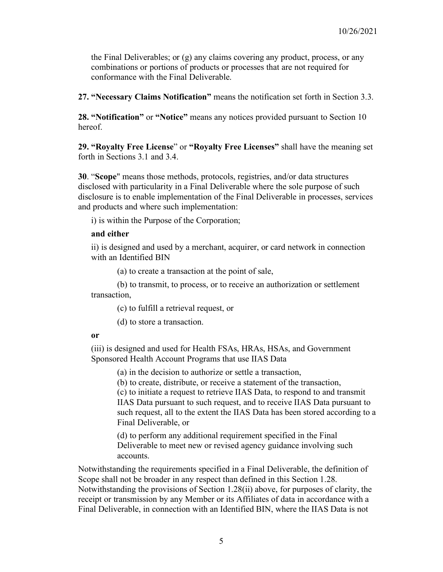the Final Deliverables; or (g) any claims covering any product, process, or any combinations or portions of products or processes that are not required for conformance with the Final Deliverable.

**27. "Necessary Claims Notification"** means the notification set forth in Section 3.3.

**28. "Notification"** or **"Notice"** means any notices provided pursuant to Section 10 hereof.

**29. "Royalty Free License**" or **"Royalty Free Licenses"** shall have the meaning set forth in Sections 3.1 and 3.4.

**30**. "**Scope**" means those methods, protocols, registries, and/or data structures disclosed with particularity in a Final Deliverable where the sole purpose of such disclosure is to enable implementation of the Final Deliverable in processes, services and products and where such implementation:

i) is within the Purpose of the Corporation;

#### **and either**

ii) is designed and used by a merchant, acquirer, or card network in connection with an Identified BIN

(a) to create a transaction at the point of sale,

(b) to transmit, to process, or to receive an authorization or settlement transaction,

(c) to fulfill a retrieval request, or

(d) to store a transaction.

#### **or**

(iii) is designed and used for Health FSAs, HRAs, HSAs, and Government Sponsored Health Account Programs that use IIAS Data

(a) in the decision to authorize or settle a transaction,

(b) to create, distribute, or receive a statement of the transaction,

(c) to initiate a request to retrieve IIAS Data, to respond to and transmit IIAS Data pursuant to such request, and to receive IIAS Data pursuant to such request, all to the extent the IIAS Data has been stored according to a Final Deliverable, or

(d) to perform any additional requirement specified in the Final Deliverable to meet new or revised agency guidance involving such accounts.

Notwithstanding the requirements specified in a Final Deliverable, the definition of Scope shall not be broader in any respect than defined in this Section 1.28. Notwithstanding the provisions of Section 1.28(ii) above, for purposes of clarity, the receipt or transmission by any Member or its Affiliates of data in accordance with a Final Deliverable, in connection with an Identified BIN, where the IIAS Data is not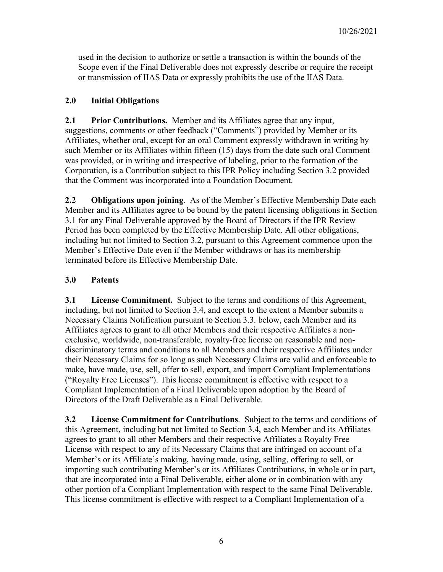used in the decision to authorize or settle a transaction is within the bounds of the Scope even if the Final Deliverable does not expressly describe or require the receipt or transmission of IIAS Data or expressly prohibits the use of the IIAS Data.

## **2.0 Initial Obligations**

**2.1 Prior Contributions.** Member and its Affiliates agree that any input, suggestions, comments or other feedback ("Comments") provided by Member or its Affiliates, whether oral, except for an oral Comment expressly withdrawn in writing by such Member or its Affiliates within fifteen (15) days from the date such oral Comment was provided, or in writing and irrespective of labeling, prior to the formation of the Corporation, is a Contribution subject to this IPR Policy including Section 3.2 provided that the Comment was incorporated into a Foundation Document.

**2.2 Obligations upon joining**. As of the Member's Effective Membership Date each Member and its Affiliates agree to be bound by the patent licensing obligations in Section 3.1 for any Final Deliverable approved by the Board of Directors if the IPR Review Period has been completed by the Effective Membership Date. All other obligations, including but not limited to Section 3.2, pursuant to this Agreement commence upon the Member's Effective Date even if the Member withdraws or has its membership terminated before its Effective Membership Date.

# **3.0 Patents**

**3.1 License Commitment.** Subject to the terms and conditions of this Agreement, including, but not limited to Section 3.4, and except to the extent a Member submits a Necessary Claims Notification pursuant to Section 3.3. below, each Member and its Affiliates agrees to grant to all other Members and their respective Affiliates a nonexclusive, worldwide, non-transferable*,* royalty-free license on reasonable and nondiscriminatory terms and conditions to all Members and their respective Affiliates under their Necessary Claims for so long as such Necessary Claims are valid and enforceable to make, have made, use, sell, offer to sell, export, and import Compliant Implementations ("Royalty Free Licenses"). This license commitment is effective with respect to a Compliant Implementation of a Final Deliverable upon adoption by the Board of Directors of the Draft Deliverable as a Final Deliverable.

**3.2 License Commitment for Contributions**. Subject to the terms and conditions of this Agreement, including but not limited to Section 3.4, each Member and its Affiliates agrees to grant to all other Members and their respective Affiliates a Royalty Free License with respect to any of its Necessary Claims that are infringed on account of a Member's or its Affiliate's making, having made, using, selling, offering to sell, or importing such contributing Member's or its Affiliates Contributions, in whole or in part, that are incorporated into a Final Deliverable, either alone or in combination with any other portion of a Compliant Implementation with respect to the same Final Deliverable. This license commitment is effective with respect to a Compliant Implementation of a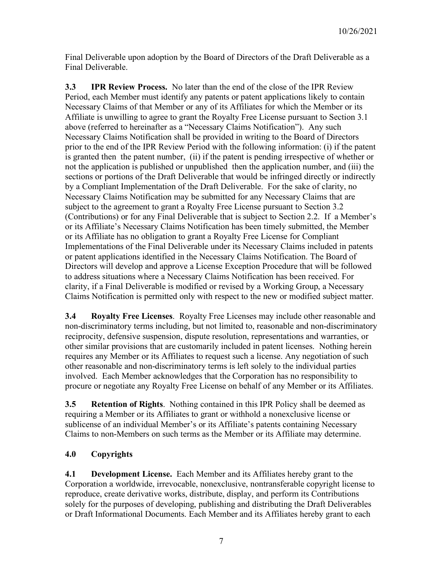Final Deliverable upon adoption by the Board of Directors of the Draft Deliverable as a Final Deliverable.

**3.3 IPR Review Process.** No later than the end of the close of the IPR Review Period, each Member must identify any patents or patent applications likely to contain Necessary Claims of that Member or any of its Affiliates for which the Member or its Affiliate is unwilling to agree to grant the Royalty Free License pursuant to Section 3.1 above (referred to hereinafter as a "Necessary Claims Notification"). Any such Necessary Claims Notification shall be provided in writing to the Board of Directors prior to the end of the IPR Review Period with the following information: (i) if the patent is granted then the patent number, (ii) if the patent is pending irrespective of whether or not the application is published or unpublished then the application number, and (iii) the sections or portions of the Draft Deliverable that would be infringed directly or indirectly by a Compliant Implementation of the Draft Deliverable. For the sake of clarity, no Necessary Claims Notification may be submitted for any Necessary Claims that are subject to the agreement to grant a Royalty Free License pursuant to Section 3.2 (Contributions) or for any Final Deliverable that is subject to Section 2.2. If a Member's or its Affiliate's Necessary Claims Notification has been timely submitted, the Member or its Affiliate has no obligation to grant a Royalty Free License for Compliant Implementations of the Final Deliverable under its Necessary Claims included in patents or patent applications identified in the Necessary Claims Notification. The Board of Directors will develop and approve a License Exception Procedure that will be followed to address situations where a Necessary Claims Notification has been received. For clarity, if a Final Deliverable is modified or revised by a Working Group, a Necessary Claims Notification is permitted only with respect to the new or modified subject matter.

**3.4 Royalty Free Licenses**. Royalty Free Licenses may include other reasonable and non-discriminatory terms including, but not limited to, reasonable and non-discriminatory reciprocity, defensive suspension, dispute resolution, representations and warranties, or other similar provisions that are customarily included in patent licenses. Nothing herein requires any Member or its Affiliates to request such a license. Any negotiation of such other reasonable and non-discriminatory terms is left solely to the individual parties involved. Each Member acknowledges that the Corporation has no responsibility to procure or negotiate any Royalty Free License on behalf of any Member or its Affiliates.

**3.5 Retention of Rights**. Nothing contained in this IPR Policy shall be deemed as requiring a Member or its Affiliates to grant or withhold a nonexclusive license or sublicense of an individual Member's or its Affiliate's patents containing Necessary Claims to non-Members on such terms as the Member or its Affiliate may determine.

# **4.0 Copyrights**

**4.1 Development License.** Each Member and its Affiliates hereby grant to the Corporation a worldwide, irrevocable, nonexclusive, nontransferable copyright license to reproduce, create derivative works, distribute, display, and perform its Contributions solely for the purposes of developing, publishing and distributing the Draft Deliverables or Draft Informational Documents. Each Member and its Affiliates hereby grant to each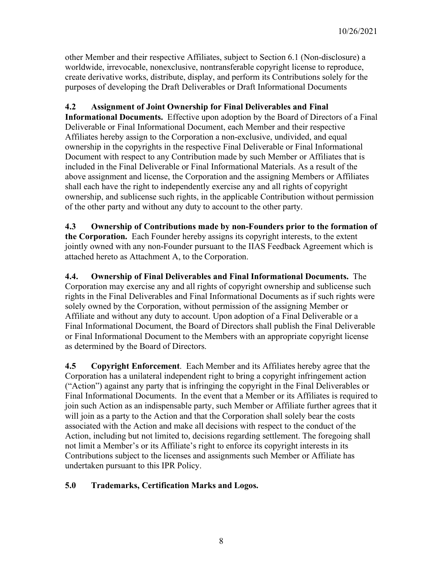other Member and their respective Affiliates, subject to Section 6.1 (Non-disclosure) a worldwide, irrevocable, nonexclusive, nontransferable copyright license to reproduce, create derivative works, distribute, display, and perform its Contributions solely for the purposes of developing the Draft Deliverables or Draft Informational Documents

## **4.2 Assignment of Joint Ownership for Final Deliverables and Final**

**Informational Documents.** Effective upon adoption by the Board of Directors of a Final Deliverable or Final Informational Document, each Member and their respective Affiliates hereby assign to the Corporation a non-exclusive, undivided, and equal ownership in the copyrights in the respective Final Deliverable or Final Informational Document with respect to any Contribution made by such Member or Affiliates that is included in the Final Deliverable or Final Informational Materials. As a result of the above assignment and license, the Corporation and the assigning Members or Affiliates shall each have the right to independently exercise any and all rights of copyright ownership, and sublicense such rights, in the applicable Contribution without permission of the other party and without any duty to account to the other party.

**4.3 Ownership of Contributions made by non-Founders prior to the formation of the Corporation.** Each Founder hereby assigns its copyright interests, to the extent jointly owned with any non-Founder pursuant to the IIAS Feedback Agreement which is attached hereto as Attachment A, to the Corporation.

**4.4. Ownership of Final Deliverables and Final Informational Documents.** The Corporation may exercise any and all rights of copyright ownership and sublicense such rights in the Final Deliverables and Final Informational Documents as if such rights were solely owned by the Corporation, without permission of the assigning Member or Affiliate and without any duty to account. Upon adoption of a Final Deliverable or a Final Informational Document, the Board of Directors shall publish the Final Deliverable or Final Informational Document to the Members with an appropriate copyright license as determined by the Board of Directors.

**4.5 Copyright Enforcement**. Each Member and its Affiliates hereby agree that the Corporation has a unilateral independent right to bring a copyright infringement action ("Action") against any party that is infringing the copyright in the Final Deliverables or Final Informational Documents. In the event that a Member or its Affiliates is required to join such Action as an indispensable party, such Member or Affiliate further agrees that it will join as a party to the Action and that the Corporation shall solely bear the costs associated with the Action and make all decisions with respect to the conduct of the Action, including but not limited to, decisions regarding settlement. The foregoing shall not limit a Member's or its Affiliate's right to enforce its copyright interests in its Contributions subject to the licenses and assignments such Member or Affiliate has undertaken pursuant to this IPR Policy.

## **5.0 Trademarks, Certification Marks and Logos.**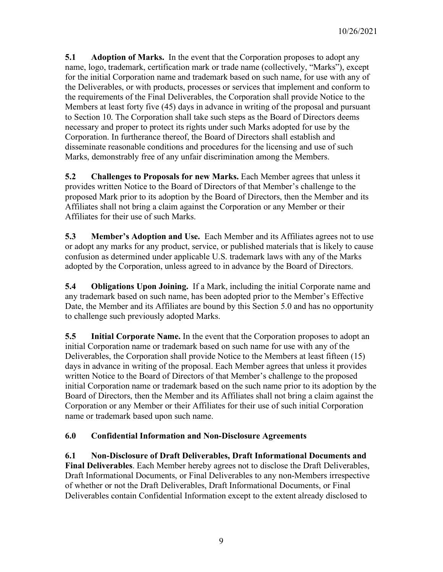**5.1 Adoption of Marks.** In the event that the Corporation proposes to adopt any name, logo, trademark, certification mark or trade name (collectively, "Marks"), except for the initial Corporation name and trademark based on such name, for use with any of the Deliverables, or with products, processes or services that implement and conform to the requirements of the Final Deliverables, the Corporation shall provide Notice to the Members at least forty five (45) days in advance in writing of the proposal and pursuant to Section 10. The Corporation shall take such steps as the Board of Directors deems necessary and proper to protect its rights under such Marks adopted for use by the Corporation. In furtherance thereof, the Board of Directors shall establish and disseminate reasonable conditions and procedures for the licensing and use of such Marks, demonstrably free of any unfair discrimination among the Members.

**5.2 Challenges to Proposals for new Marks.** Each Member agrees that unless it provides written Notice to the Board of Directors of that Member's challenge to the proposed Mark prior to its adoption by the Board of Directors, then the Member and its Affiliates shall not bring a claim against the Corporation or any Member or their Affiliates for their use of such Marks.

**5.3 Member's Adoption and Use.** Each Member and its Affiliates agrees not to use or adopt any marks for any product, service, or published materials that is likely to cause confusion as determined under applicable U.S. trademark laws with any of the Marks adopted by the Corporation, unless agreed to in advance by the Board of Directors.

**5.4 Obligations Upon Joining.** If a Mark, including the initial Corporate name and any trademark based on such name, has been adopted prior to the Member's Effective Date, the Member and its Affiliates are bound by this Section 5.0 and has no opportunity to challenge such previously adopted Marks.

**5.5 Initial Corporate Name.** In the event that the Corporation proposes to adopt an initial Corporation name or trademark based on such name for use with any of the Deliverables, the Corporation shall provide Notice to the Members at least fifteen (15) days in advance in writing of the proposal. Each Member agrees that unless it provides written Notice to the Board of Directors of that Member's challenge to the proposed initial Corporation name or trademark based on the such name prior to its adoption by the Board of Directors, then the Member and its Affiliates shall not bring a claim against the Corporation or any Member or their Affiliates for their use of such initial Corporation name or trademark based upon such name.

## **6.0 Confidential Information and Non-Disclosure Agreements**

**6.1 Non-Disclosure of Draft Deliverables, Draft Informational Documents and Final Deliverables**. Each Member hereby agrees not to disclose the Draft Deliverables, Draft Informational Documents, or Final Deliverables to any non-Members irrespective of whether or not the Draft Deliverables, Draft Informational Documents, or Final Deliverables contain Confidential Information except to the extent already disclosed to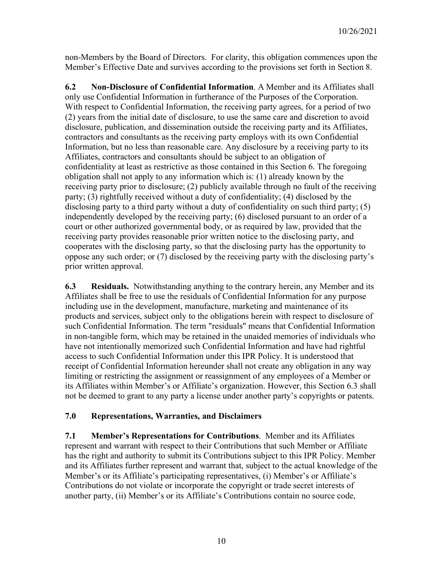non-Members by the Board of Directors. For clarity, this obligation commences upon the Member's Effective Date and survives according to the provisions set forth in Section 8.

**6.2 Non-Disclosure of Confidential Information**. A Member and its Affiliates shall only use Confidential Information in furtherance of the Purposes of the Corporation. With respect to Confidential Information, the receiving party agrees, for a period of two (2) years from the initial date of disclosure, to use the same care and discretion to avoid disclosure, publication, and dissemination outside the receiving party and its Affiliates, contractors and consultants as the receiving party employs with its own Confidential Information, but no less than reasonable care. Any disclosure by a receiving party to its Affiliates, contractors and consultants should be subject to an obligation of confidentiality at least as restrictive as those contained in this Section 6. The foregoing obligation shall not apply to any information which is: (1) already known by the receiving party prior to disclosure; (2) publicly available through no fault of the receiving party; (3) rightfully received without a duty of confidentiality; (4) disclosed by the disclosing party to a third party without a duty of confidentiality on such third party; (5) independently developed by the receiving party; (6) disclosed pursuant to an order of a court or other authorized governmental body, or as required by law, provided that the receiving party provides reasonable prior written notice to the disclosing party, and cooperates with the disclosing party, so that the disclosing party has the opportunity to oppose any such order; or (7) disclosed by the receiving party with the disclosing party's prior written approval.

**6.3 Residuals.** Notwithstanding anything to the contrary herein, any Member and its Affiliates shall be free to use the residuals of Confidential Information for any purpose including use in the development, manufacture, marketing and maintenance of its products and services, subject only to the obligations herein with respect to disclosure of such Confidential Information. The term "residuals" means that Confidential Information in non-tangible form, which may be retained in the unaided memories of individuals who have not intentionally memorized such Confidential Information and have had rightful access to such Confidential Information under this IPR Policy. It is understood that receipt of Confidential Information hereunder shall not create any obligation in any way limiting or restricting the assignment or reassignment of any employees of a Member or its Affiliates within Member's or Affiliate's organization. However, this Section 6.3 shall not be deemed to grant to any party a license under another party's copyrights or patents.

### **7.0 Representations, Warranties, and Disclaimers**

**7.1 Member's Representations for Contributions**. Member and its Affiliates represent and warrant with respect to their Contributions that such Member or Affiliate has the right and authority to submit its Contributions subject to this IPR Policy. Member and its Affiliates further represent and warrant that, subject to the actual knowledge of the Member's or its Affiliate's participating representatives, (i) Member's or Affiliate's Contributions do not violate or incorporate the copyright or trade secret interests of another party, (ii) Member's or its Affiliate's Contributions contain no source code,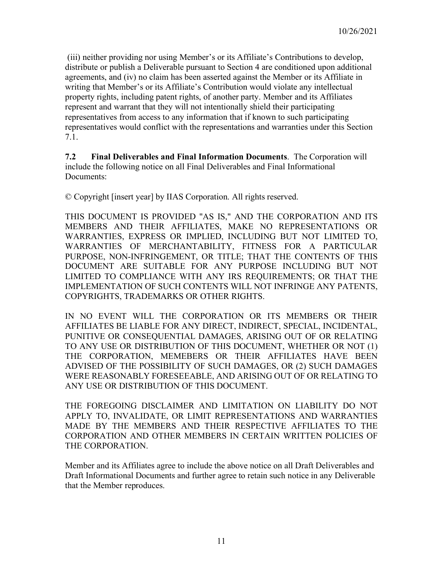(iii) neither providing nor using Member's or its Affiliate's Contributions to develop, distribute or publish a Deliverable pursuant to Section 4 are conditioned upon additional agreements, and (iv) no claim has been asserted against the Member or its Affiliate in writing that Member's or its Affiliate's Contribution would violate any intellectual property rights, including patent rights, of another party. Member and its Affiliates represent and warrant that they will not intentionally shield their participating representatives from access to any information that if known to such participating representatives would conflict with the representations and warranties under this Section 7.1.

**7.2 Final Deliverables and Final Information Documents**. The Corporation will include the following notice on all Final Deliverables and Final Informational Documents:

© Copyright [insert year] by IIAS Corporation. All rights reserved.

THIS DOCUMENT IS PROVIDED "AS IS," AND THE CORPORATION AND ITS MEMBERS AND THEIR AFFILIATES, MAKE NO REPRESENTATIONS OR WARRANTIES, EXPRESS OR IMPLIED, INCLUDING BUT NOT LIMITED TO, WARRANTIES OF MERCHANTABILITY, FITNESS FOR A PARTICULAR PURPOSE, NON-INFRINGEMENT, OR TITLE; THAT THE CONTENTS OF THIS DOCUMENT ARE SUITABLE FOR ANY PURPOSE INCLUDING BUT NOT LIMITED TO COMPLIANCE WITH ANY IRS REQUIREMENTS; OR THAT THE IMPLEMENTATION OF SUCH CONTENTS WILL NOT INFRINGE ANY PATENTS, COPYRIGHTS, TRADEMARKS OR OTHER RIGHTS.

IN NO EVENT WILL THE CORPORATION OR ITS MEMBERS OR THEIR AFFILIATES BE LIABLE FOR ANY DIRECT, INDIRECT, SPECIAL, INCIDENTAL, PUNITIVE OR CONSEQUENTIAL DAMAGES, ARISING OUT OF OR RELATING TO ANY USE OR DISTRIBUTION OF THIS DOCUMENT, WHETHER OR NOT (1) THE CORPORATION, MEMEBERS OR THEIR AFFILIATES HAVE BEEN ADVISED OF THE POSSIBILITY OF SUCH DAMAGES, OR (2) SUCH DAMAGES WERE REASONABLY FORESEEABLE, AND ARISING OUT OF OR RELATING TO ANY USE OR DISTRIBUTION OF THIS DOCUMENT.

THE FOREGOING DISCLAIMER AND LIMITATION ON LIABILITY DO NOT APPLY TO, INVALIDATE, OR LIMIT REPRESENTATIONS AND WARRANTIES MADE BY THE MEMBERS AND THEIR RESPECTIVE AFFILIATES TO THE CORPORATION AND OTHER MEMBERS IN CERTAIN WRITTEN POLICIES OF THE CORPORATION.

Member and its Affiliates agree to include the above notice on all Draft Deliverables and Draft Informational Documents and further agree to retain such notice in any Deliverable that the Member reproduces.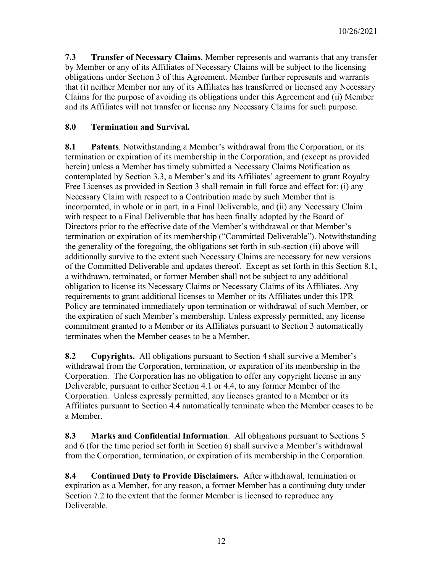**7.3 Transfer of Necessary Claims**. Member represents and warrants that any transfer by Member or any of its Affiliates of Necessary Claims will be subject to the licensing obligations under Section 3 of this Agreement. Member further represents and warrants that (i) neither Member nor any of its Affiliates has transferred or licensed any Necessary Claims for the purpose of avoiding its obligations under this Agreement and (ii) Member and its Affiliates will not transfer or license any Necessary Claims for such purpose.

## **8.0 Termination and Survival.**

**8.1 Patents**. Notwithstanding a Member's withdrawal from the Corporation, or its termination or expiration of its membership in the Corporation, and (except as provided herein) unless a Member has timely submitted a Necessary Claims Notification as contemplated by Section 3.3, a Member's and its Affiliates' agreement to grant Royalty Free Licenses as provided in Section 3 shall remain in full force and effect for: (i) any Necessary Claim with respect to a Contribution made by such Member that is incorporated, in whole or in part, in a Final Deliverable, and (ii) any Necessary Claim with respect to a Final Deliverable that has been finally adopted by the Board of Directors prior to the effective date of the Member's withdrawal or that Member's termination or expiration of its membership ("Committed Deliverable"). Notwithstanding the generality of the foregoing, the obligations set forth in sub-section (ii) above will additionally survive to the extent such Necessary Claims are necessary for new versions of the Committed Deliverable and updates thereof. Except as set forth in this Section 8.1, a withdrawn, terminated, or former Member shall not be subject to any additional obligation to license its Necessary Claims or Necessary Claims of its Affiliates. Any requirements to grant additional licenses to Member or its Affiliates under this IPR Policy are terminated immediately upon termination or withdrawal of such Member, or the expiration of such Member's membership. Unless expressly permitted, any license commitment granted to a Member or its Affiliates pursuant to Section 3 automatically terminates when the Member ceases to be a Member.

**8.2 Copyrights.** All obligations pursuant to Section 4 shall survive a Member's withdrawal from the Corporation, termination, or expiration of its membership in the Corporation. The Corporation has no obligation to offer any copyright license in any Deliverable, pursuant to either Section 4.1 or 4.4, to any former Member of the Corporation. Unless expressly permitted, any licenses granted to a Member or its Affiliates pursuant to Section 4.4 automatically terminate when the Member ceases to be a Member.

**8.3 Marks and Confidential Information**. All obligations pursuant to Sections 5 and 6 (for the time period set forth in Section 6) shall survive a Member's withdrawal from the Corporation, termination, or expiration of its membership in the Corporation.

**8.4 Continued Duty to Provide Disclaimers.** After withdrawal, termination or expiration as a Member, for any reason, a former Member has a continuing duty under Section 7.2 to the extent that the former Member is licensed to reproduce any Deliverable.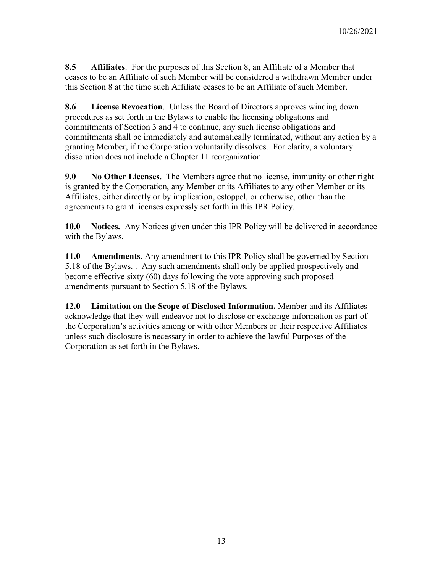**8.5 Affiliates**. For the purposes of this Section 8, an Affiliate of a Member that ceases to be an Affiliate of such Member will be considered a withdrawn Member under this Section 8 at the time such Affiliate ceases to be an Affiliate of such Member.

**8.6 License Revocation**. Unless the Board of Directors approves winding down procedures as set forth in the Bylaws to enable the licensing obligations and commitments of Section 3 and 4 to continue, any such license obligations and commitments shall be immediately and automatically terminated, without any action by a granting Member, if the Corporation voluntarily dissolves. For clarity, a voluntary dissolution does not include a Chapter 11 reorganization.

**9.0 No Other Licenses.** The Members agree that no license, immunity or other right is granted by the Corporation, any Member or its Affiliates to any other Member or its Affiliates, either directly or by implication, estoppel, or otherwise, other than the agreements to grant licenses expressly set forth in this IPR Policy.

**10.0 Notices.** Any Notices given under this IPR Policy will be delivered in accordance with the Bylaws.

**11.0 Amendments**. Any amendment to this IPR Policy shall be governed by Section 5.18 of the Bylaws. . Any such amendments shall only be applied prospectively and become effective sixty (60) days following the vote approving such proposed amendments pursuant to Section 5.18 of the Bylaws.

**12.0 Limitation on the Scope of Disclosed Information.** Member and its Affiliates acknowledge that they will endeavor not to disclose or exchange information as part of the Corporation's activities among or with other Members or their respective Affiliates unless such disclosure is necessary in order to achieve the lawful Purposes of the Corporation as set forth in the Bylaws.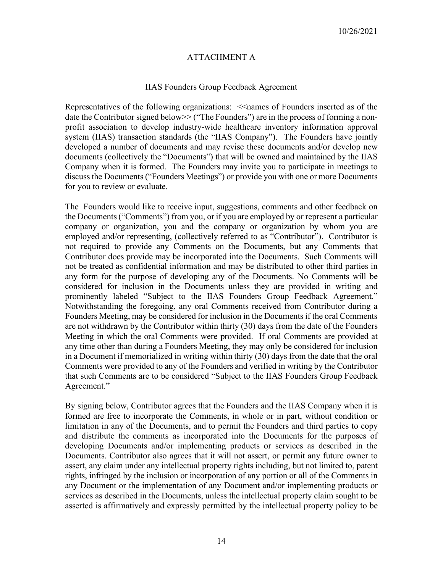### ATTACHMENT A

#### IIAS Founders Group Feedback Agreement

Representatives of the following organizations:  $\leq$ names of Founders inserted as of the date the Contributor signed below>> ("The Founders") are in the process of forming a nonprofit association to develop industry-wide healthcare inventory information approval system (IIAS) transaction standards (the "IIAS Company"). The Founders have jointly developed a number of documents and may revise these documents and/or develop new documents (collectively the "Documents") that will be owned and maintained by the IIAS Company when it is formed. The Founders may invite you to participate in meetings to discuss the Documents ("Founders Meetings") or provide you with one or more Documents for you to review or evaluate.

The Founders would like to receive input, suggestions, comments and other feedback on the Documents ("Comments") from you, or if you are employed by or represent a particular company or organization, you and the company or organization by whom you are employed and/or representing, (collectively referred to as "Contributor"). Contributor is not required to provide any Comments on the Documents, but any Comments that Contributor does provide may be incorporated into the Documents. Such Comments will not be treated as confidential information and may be distributed to other third parties in any form for the purpose of developing any of the Documents. No Comments will be considered for inclusion in the Documents unless they are provided in writing and prominently labeled "Subject to the IIAS Founders Group Feedback Agreement." Notwithstanding the foregoing, any oral Comments received from Contributor during a Founders Meeting, may be considered for inclusion in the Documents if the oral Comments are not withdrawn by the Contributor within thirty (30) days from the date of the Founders Meeting in which the oral Comments were provided. If oral Comments are provided at any time other than during a Founders Meeting, they may only be considered for inclusion in a Document if memorialized in writing within thirty (30) days from the date that the oral Comments were provided to any of the Founders and verified in writing by the Contributor that such Comments are to be considered "Subject to the IIAS Founders Group Feedback Agreement."

By signing below, Contributor agrees that the Founders and the IIAS Company when it is formed are free to incorporate the Comments, in whole or in part, without condition or limitation in any of the Documents, and to permit the Founders and third parties to copy and distribute the comments as incorporated into the Documents for the purposes of developing Documents and/or implementing products or services as described in the Documents. Contributor also agrees that it will not assert, or permit any future owner to assert, any claim under any intellectual property rights including, but not limited to, patent rights, infringed by the inclusion or incorporation of any portion or all of the Comments in any Document or the implementation of any Document and/or implementing products or services as described in the Documents, unless the intellectual property claim sought to be asserted is affirmatively and expressly permitted by the intellectual property policy to be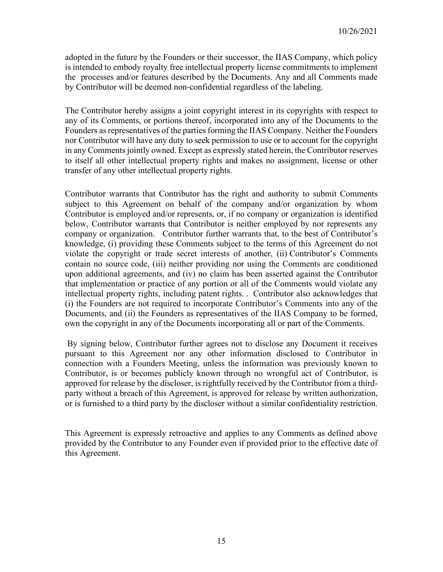adopted in the future by the Founders or their successor, the IIAS Company, which policy is intended to embody royalty free intellectual property license commitments to implement the processes and/or features described by the Documents. Any and all Comments made by Contributor will be deemed non-confidential regardless of the labeling.

The Contributor hereby assigns a joint copyright interest in its copyrights with respect to any of its Comments, or portions thereof, incorporated into any of the Documents to the Founders as representatives of the parties forming the IIAS Company. Neither the Founders nor Contributor will have any duty to seek permission to use or to account for the copyright in any Comments jointly owned. Except as expressly stated herein, the Contributor reserves to itself all other intellectual property rights and makes no assignment, license or other transfer of any other intellectual property rights.

Contributor warrants that Contributor has the right and authority to submit Comments subject to this Agreement on behalf of the company and/or organization by whom Contributor is employed and/or represents, or, if no company or organization is identified below, Contributor warrants that Contributor is neither employed by nor represents any company or organization. Contributor further warrants that, to the best of Contributor's knowledge, (i) providing these Comments subject to the terms of this Agreement do not violate the copyright or trade secret interests of another, (ii) Contributor's Comments contain no source code, (iii) neither providing nor using the Comments are conditioned upon additional agreements, and (iv) no claim has been asserted against the Contributor that implementation or practice of any portion or all of the Comments would violate any intellectual property rights, including patent rights. . Contributor also acknowledges that (i) the Founders are not required to incorporate Contributor's Comments into any of the Documents, and (ii) the Founders as representatives of the IIAS Company to be formed, own the copyright in any of the Documents incorporating all or part of the Comments.

By signing below, Contributor further agrees not to disclose any Document it receives pursuant to this Agreement nor any other information disclosed to Contributor in connection with a Founders Meeting, unless the information was previously known to Contributor, is or becomes publicly known through no wrongful act of Contributor, is approved for release by the discloser, is rightfully received by the Contributor from a thirdparty without a breach of this Agreement, is approved for release by written authorization, or is furnished to a third party by the discloser without a similar confidentiality restriction.

This Agreement is expressly retroactive and applies to any Comments as defined above provided by the Contributor to any Founder even if provided prior to the effective date of this Agreement.